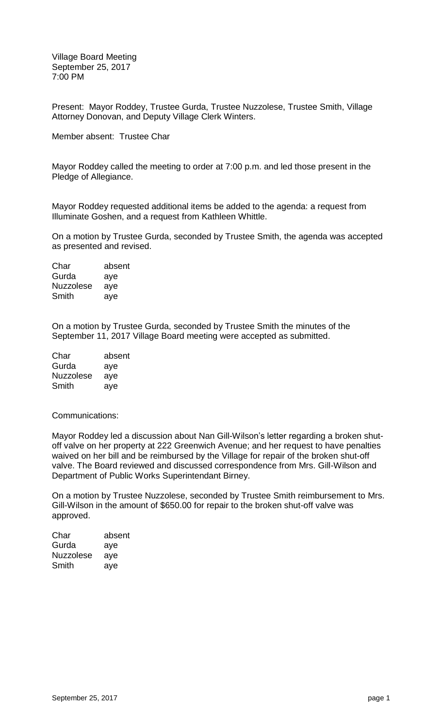Village Board Meeting September 25, 2017 7:00 PM

Present: Mayor Roddey, Trustee Gurda, Trustee Nuzzolese, Trustee Smith, Village Attorney Donovan, and Deputy Village Clerk Winters.

Member absent: Trustee Char

Mayor Roddey called the meeting to order at 7:00 p.m. and led those present in the Pledge of Allegiance.

Mayor Roddey requested additional items be added to the agenda: a request from Illuminate Goshen, and a request from Kathleen Whittle.

On a motion by Trustee Gurda, seconded by Trustee Smith, the agenda was accepted as presented and revised.

| Char             | absent |
|------------------|--------|
| Gurda            | aye    |
| <b>Nuzzolese</b> | aye    |
| Smith            | aye    |

On a motion by Trustee Gurda, seconded by Trustee Smith the minutes of the September 11, 2017 Village Board meeting were accepted as submitted.

| Char             | absent |
|------------------|--------|
| Gurda            | aye    |
| <b>Nuzzolese</b> | aye    |
| Smith            | aye    |

Communications:

Mayor Roddey led a discussion about Nan Gill-Wilson's letter regarding a broken shutoff valve on her property at 222 Greenwich Avenue; and her request to have penalties waived on her bill and be reimbursed by the Village for repair of the broken shut-off valve. The Board reviewed and discussed correspondence from Mrs. Gill-Wilson and Department of Public Works Superintendant Birney.

On a motion by Trustee Nuzzolese, seconded by Trustee Smith reimbursement to Mrs. Gill-Wilson in the amount of \$650.00 for repair to the broken shut-off valve was approved.

| Char             | absent |
|------------------|--------|
| Gurda            | aye    |
| <b>Nuzzolese</b> | aye    |
| Smith            | aye    |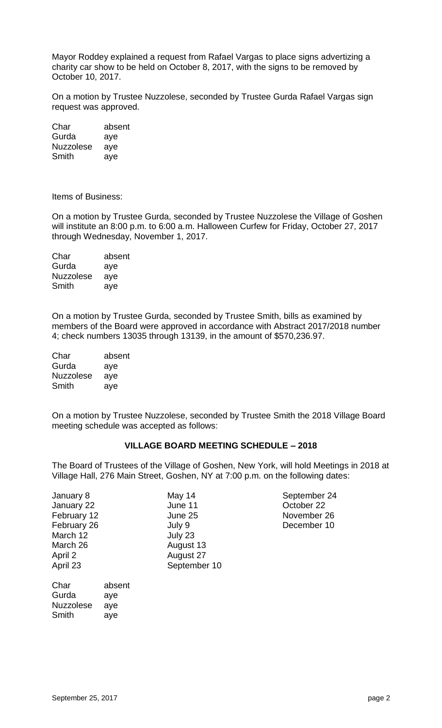Mayor Roddey explained a request from Rafael Vargas to place signs advertizing a charity car show to be held on October 8, 2017, with the signs to be removed by October 10, 2017.

On a motion by Trustee Nuzzolese, seconded by Trustee Gurda Rafael Vargas sign request was approved.

| Char             | absent |
|------------------|--------|
| Gurda            | aye    |
| <b>Nuzzolese</b> | aye    |
| Smith            | aye    |

Items of Business:

On a motion by Trustee Gurda, seconded by Trustee Nuzzolese the Village of Goshen will institute an 8:00 p.m. to 6:00 a.m. Halloween Curfew for Friday, October 27, 2017 through Wednesday, November 1, 2017.

Char absent Gurda aye Nuzzolese aye Smith aye

On a motion by Trustee Gurda, seconded by Trustee Smith, bills as examined by members of the Board were approved in accordance with Abstract 2017/2018 number 4; check numbers 13035 through 13139, in the amount of \$570,236.97.

| Char             | absent |
|------------------|--------|
| Gurda            | aye    |
| <b>Nuzzolese</b> | aye    |
| Smith            | aye    |

On a motion by Trustee Nuzzolese, seconded by Trustee Smith the 2018 Village Board meeting schedule was accepted as follows:

# **VILLAGE BOARD MEETING SCHEDULE – 2018**

The Board of Trustees of the Village of Goshen, New York, will hold Meetings in 2018 at Village Hall, 276 Main Street, Goshen, NY at 7:00 p.m. on the following dates:

| January 8   | May 14       |
|-------------|--------------|
| January 22  | June 11      |
| February 12 | June 25      |
| February 26 | July 9       |
| March 12    | July 23      |
| March 26    | August 13    |
| April 2     | August 27    |
| April 23    | September 10 |
|             |              |

September 24 October 22 November 26 December 10

Char absent Gurda aye Nuzzolese aye Smith aye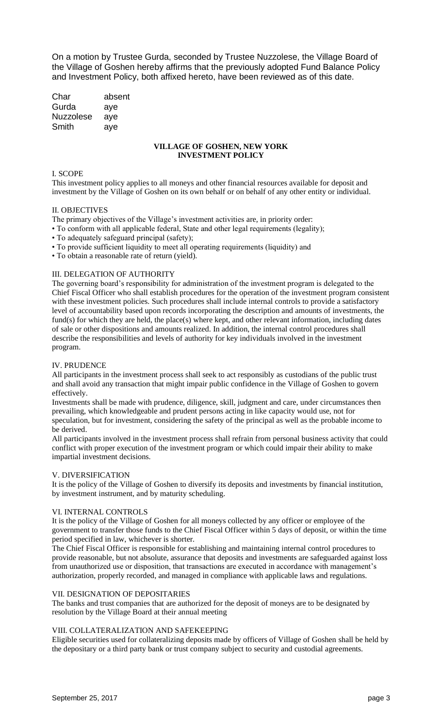On a motion by Trustee Gurda, seconded by Trustee Nuzzolese, the Village Board of the Village of Goshen hereby affirms that the previously adopted Fund Balance Policy and Investment Policy, both affixed hereto, have been reviewed as of this date.

Char absent Gurda aye Nuzzolese aye Smith aye

# **VILLAGE OF GOSHEN, NEW YORK INVESTMENT POLICY**

### I. SCOPE

This investment policy applies to all moneys and other financial resources available for deposit and investment by the Village of Goshen on its own behalf or on behalf of any other entity or individual.

#### II. OBJECTIVES

The primary objectives of the Village's investment activities are, in priority order:

- To conform with all applicable federal, State and other legal requirements (legality);
- To adequately safeguard principal (safety);
- To provide sufficient liquidity to meet all operating requirements (liquidity) and
- To obtain a reasonable rate of return (yield).

#### III. DELEGATION OF AUTHORITY

The governing board's responsibility for administration of the investment program is delegated to the Chief Fiscal Officer who shall establish procedures for the operation of the investment program consistent with these investment policies. Such procedures shall include internal controls to provide a satisfactory level of accountability based upon records incorporating the description and amounts of investments, the fund(s) for which they are held, the place(s) where kept, and other relevant information, including dates of sale or other dispositions and amounts realized. In addition, the internal control procedures shall describe the responsibilities and levels of authority for key individuals involved in the investment program.

## IV. PRUDENCE

All participants in the investment process shall seek to act responsibly as custodians of the public trust and shall avoid any transaction that might impair public confidence in the Village of Goshen to govern effectively.

Investments shall be made with prudence, diligence, skill, judgment and care, under circumstances then prevailing, which knowledgeable and prudent persons acting in like capacity would use, not for speculation, but for investment, considering the safety of the principal as well as the probable income to be derived.

All participants involved in the investment process shall refrain from personal business activity that could conflict with proper execution of the investment program or which could impair their ability to make impartial investment decisions.

## V. DIVERSIFICATION

It is the policy of the Village of Goshen to diversify its deposits and investments by financial institution, by investment instrument, and by maturity scheduling.

## VI. INTERNAL CONTROLS

It is the policy of the Village of Goshen for all moneys collected by any officer or employee of the government to transfer those funds to the Chief Fiscal Officer within 5 days of deposit, or within the time period specified in law, whichever is shorter.

The Chief Fiscal Officer is responsible for establishing and maintaining internal control procedures to provide reasonable, but not absolute, assurance that deposits and investments are safeguarded against loss from unauthorized use or disposition, that transactions are executed in accordance with management's authorization, properly recorded, and managed in compliance with applicable laws and regulations.

#### VII. DESIGNATION OF DEPOSITARIES

The banks and trust companies that are authorized for the deposit of moneys are to be designated by resolution by the Village Board at their annual meeting

## VIII. COLLATERALIZATION AND SAFEKEEPING

Eligible securities used for collateralizing deposits made by officers of Village of Goshen shall be held by the depositary or a third party bank or trust company subject to security and custodial agreements.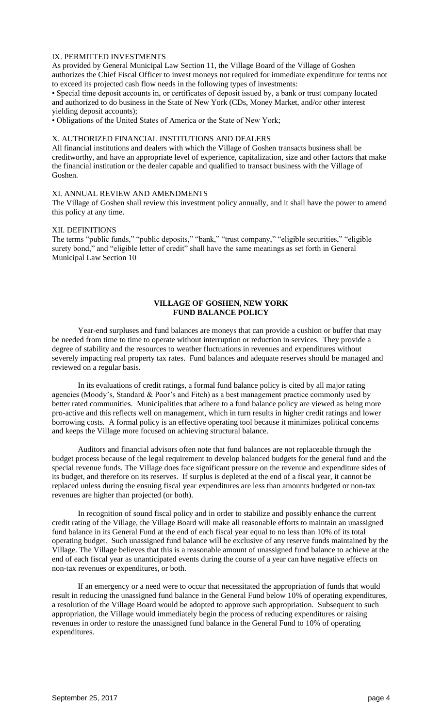#### IX. PERMITTED INVESTMENTS

As provided by General Municipal Law Section 11, the Village Board of the Village of Goshen authorizes the Chief Fiscal Officer to invest moneys not required for immediate expenditure for terms not to exceed its projected cash flow needs in the following types of investments:

• Special time deposit accounts in, or certificates of deposit issued by, a bank or trust company located and authorized to do business in the State of New York (CDs, Money Market, and/or other interest yielding deposit accounts);

• Obligations of the United States of America or the State of New York;

## X. AUTHORIZED FINANCIAL INSTITUTIONS AND DEALERS

All financial institutions and dealers with which the Village of Goshen transacts business shall be creditworthy, and have an appropriate level of experience, capitalization, size and other factors that make the financial institution or the dealer capable and qualified to transact business with the Village of Goshen.

## XI. ANNUAL REVIEW AND AMENDMENTS

The Village of Goshen shall review this investment policy annually, and it shall have the power to amend this policy at any time.

### XII. DEFINITIONS

The terms "public funds," "public deposits," "bank," "trust company," "eligible securities," "eligible surety bond," and "eligible letter of credit" shall have the same meanings as set forth in General Municipal Law Section 10

## **VILLAGE OF GOSHEN, NEW YORK FUND BALANCE POLICY**

Year-end surpluses and fund balances are moneys that can provide a cushion or buffer that may be needed from time to time to operate without interruption or reduction in services. They provide a degree of stability and the resources to weather fluctuations in revenues and expenditures without severely impacting real property tax rates. Fund balances and adequate reserves should be managed and reviewed on a regular basis.

In its evaluations of credit ratings, a formal fund balance policy is cited by all major rating agencies (Moody's, Standard & Poor's and Fitch) as a best management practice commonly used by better rated communities. Municipalities that adhere to a fund balance policy are viewed as being more pro-active and this reflects well on management, which in turn results in higher credit ratings and lower borrowing costs. A formal policy is an effective operating tool because it minimizes political concerns and keeps the Village more focused on achieving structural balance.

Auditors and financial advisors often note that fund balances are not replaceable through the budget process because of the legal requirement to develop balanced budgets for the general fund and the special revenue funds. The Village does face significant pressure on the revenue and expenditure sides of its budget, and therefore on its reserves. If surplus is depleted at the end of a fiscal year, it cannot be replaced unless during the ensuing fiscal year expenditures are less than amounts budgeted or non-tax revenues are higher than projected (or both).

In recognition of sound fiscal policy and in order to stabilize and possibly enhance the current credit rating of the Village, the Village Board will make all reasonable efforts to maintain an unassigned fund balance in its General Fund at the end of each fiscal year equal to no less than 10% of its total operating budget. Such unassigned fund balance will be exclusive of any reserve funds maintained by the Village. The Village believes that this is a reasonable amount of unassigned fund balance to achieve at the end of each fiscal year as unanticipated events during the course of a year can have negative effects on non-tax revenues or expenditures, or both.

If an emergency or a need were to occur that necessitated the appropriation of funds that would result in reducing the unassigned fund balance in the General Fund below 10% of operating expenditures, a resolution of the Village Board would be adopted to approve such appropriation. Subsequent to such appropriation, the Village would immediately begin the process of reducing expenditures or raising revenues in order to restore the unassigned fund balance in the General Fund to 10% of operating expenditures.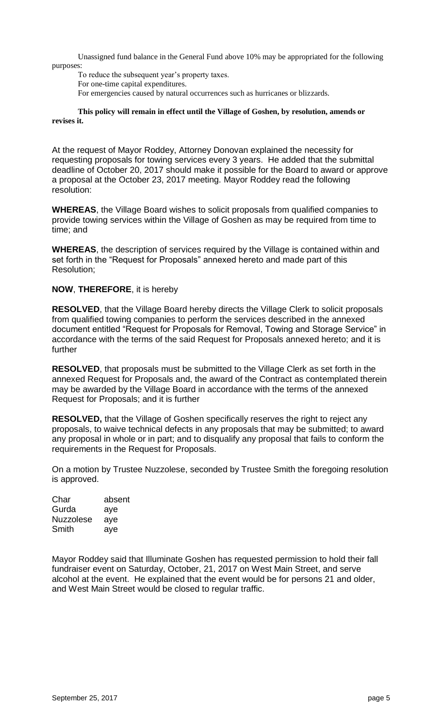Unassigned fund balance in the General Fund above 10% may be appropriated for the following purposes:

To reduce the subsequent year's property taxes. For one-time capital expenditures. For emergencies caused by natural occurrences such as hurricanes or blizzards.

# **This policy will remain in effect until the Village of Goshen, by resolution, amends or revises it.**

At the request of Mayor Roddey, Attorney Donovan explained the necessity for requesting proposals for towing services every 3 years. He added that the submittal deadline of October 20, 2017 should make it possible for the Board to award or approve a proposal at the October 23, 2017 meeting. Mayor Roddey read the following resolution:

**WHEREAS**, the Village Board wishes to solicit proposals from qualified companies to provide towing services within the Village of Goshen as may be required from time to time; and

**WHEREAS**, the description of services required by the Village is contained within and set forth in the "Request for Proposals" annexed hereto and made part of this Resolution;

# **NOW**, **THEREFORE**, it is hereby

**RESOLVED**, that the Village Board hereby directs the Village Clerk to solicit proposals from qualified towing companies to perform the services described in the annexed document entitled "Request for Proposals for Removal, Towing and Storage Service" in accordance with the terms of the said Request for Proposals annexed hereto; and it is further

**RESOLVED**, that proposals must be submitted to the Village Clerk as set forth in the annexed Request for Proposals and, the award of the Contract as contemplated therein may be awarded by the Village Board in accordance with the terms of the annexed Request for Proposals; and it is further

**RESOLVED,** that the Village of Goshen specifically reserves the right to reject any proposals, to waive technical defects in any proposals that may be submitted; to award any proposal in whole or in part; and to disqualify any proposal that fails to conform the requirements in the Request for Proposals.

On a motion by Trustee Nuzzolese, seconded by Trustee Smith the foregoing resolution is approved.

Char absent Gurda aye Nuzzolese aye Smith aye

Mayor Roddey said that Illuminate Goshen has requested permission to hold their fall fundraiser event on Saturday, October, 21, 2017 on West Main Street, and serve alcohol at the event. He explained that the event would be for persons 21 and older, and West Main Street would be closed to regular traffic.